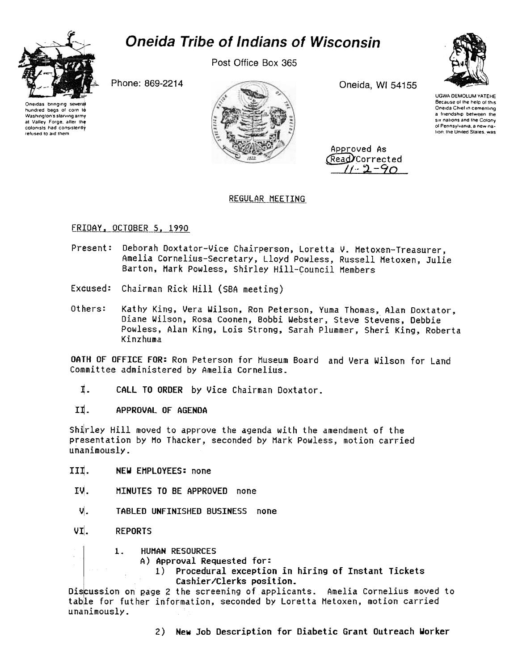# **Oneida Tribe of Indians of Wisconsin**



Post Office Box 365

Phone: 869-2214

Oneidas brinoino hundred bags of corn to Washington's starving army at Valley Forge, after the colonists had consistently refused to aid them



Oneida, WI 54155

Approved As Read Corrected  $7 - 9 - 90$  UGWA DEMOLUM YATEHE Because of the help of this Oneida Chief in cementing a friendship between the six nations and the Colony of Pennsylvania, a new nation, the United States, was

# REGULAR MEETING

# FRIDAY, OCTOBER 5, 1990

- Deborah Doxtator-Vice Chairperson, Loretta V. Metoxen-Treasurer, Present: Amelia Cornelius-Secretary, Lloyd Powless, Russell Metoxen, Julie Barton, Mark Powless, Shirley Hill-Council Members
- Excused: Chairman Rick Hill (SBA meeting)
- Others: Kathy King, Vera Wilson, Ron Peterson, Yuma Thomas, Alan Doxtator, Diane Wilson, Rosa Coonen, Bobbi Webster, Steve Stevens, Debbie Powless, Alan King, Lois Strong, Sarah Plummer, Sheri King, Roberta Kinzhuma

OATH OF OFFICE FOR: Ron Peterson for Museum Board and Vera Wilson for Land Committee administered by Amelia Cornelius.

- I. CALL TO ORDER by Vice Chairman Doxtator.
- II. APPROVAL OF AGENDA

Shirley Hill moved to approve the agenda with the amendment of the presentation by Mo Thacker, seconded by Mark Powless, motion carried unanimously.

- III. NEW EMPLOYEES: none
- IV. MINUTES TO BE APPROVED none
- ₩. TABLED UNFINISHED BUSINESS none
- VI. **REPORTS** 
	- **HUMAN RESOURCES**  $\mathbf{1}$ 
		- A) Approval Requested for:
			- 1) Procedural exception in hiring of Instant Tickets Cashier/Clerks position.

Discussion on page 2 the screening of applicants. Amelia Cornelius moved to table for futher information, seconded by Loretta Metoxen, motion carried unanimously.

2) New Job Description for Diabetic Grant Outreach Worker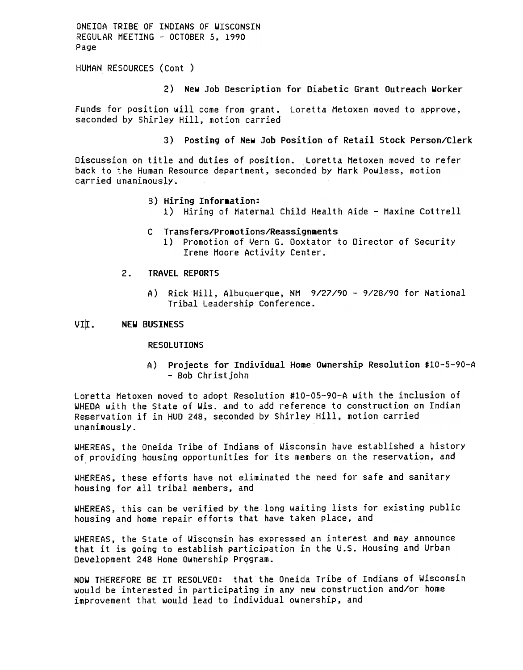ONEIDA TRIBE OF INDIANS OF WISCONSIN REGULAR MEETING - OCTOBER 5, 1990 Page

HUMAN RESOURCES (Cont

2) New Job Description for Diabetic Grant Outreach Worker

Funds for position will come from grant. Loretta Metoxen moved to approve, seconded by Shirley Hill, motion carried

3) Posting of New Job Position of Retail stock Person/Clerk

Discussion on title and duties of position. Loretta Metoxen moved to refer back to the Human Resource department, seconded by Mark Powless, motion carried unanimously.

- B) Hiring Information:
	- 1) Hiring of Maternal Child Health Aide Maxine Cottrell
- C Transfers/Promotions/Reassignments
	- 1) Promotion of Vern G. Doxtator to Director of Security Irene Hoore Activity Center.
- $2<sup>1</sup>$ TRAVEL REPORTS
	- A) Rick Hill, Albuquerque, NM 9/27/90 9/28/90 for Nation Tribal Leadership Conference.

#### VII. NEW BUSINESS

#### **RESOLUTIONS**

A) Projects for Individual Home Ownership Resolution #10-5-90-A -Bob Christ john

Loretta Metoxen moved to adopt Resolution #10-05-90-A with the inclusion of WHEDA with the State of Wis. and to add reference to construction on Indian Reservation if in HUD 248, seconded by Shirley Hill, motion carried unanimously.

WHEREAS, the Oneida Tribe of Indians of Wisconsin have established a history of providing housing opportunities for its members on the reservation, and

WHEREAS, these efforts have not eliminated the need for safe and sanitary housing for all tribal members, and

WHtREAS, this can be verified by the long waiting lists for existing public housing and home repair efforts that have taken place, and

WHEREAS, the State of Wisconsin has expressed an interest and may announce that it is going to establish participation in the U.S. Housing and Urban Development 248 Home Ownership Program.

NOW THEREFORE BE IT RESOLVED: that the Oneida Tribe of Indians of Wisconsin would be interested in participating in any new construction and/or home improvement that would lead to individual ownership, and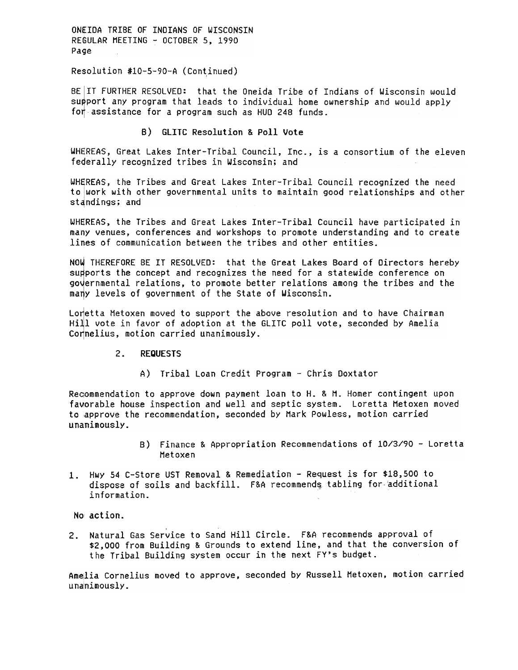ONEIDA TRIBE OF INDIANS OF WISCONSIN REGULAR MEETING - OCTOBER 5, 1990 Page

Resolution #10-5-90-A (Continued)

BE IT FURTHER RESOLVED: that the Oneida Tribe of Indians of Wisconsin would support any program that leads to individual home ownership and would apply for assistance for a program such as HUD 248 funds.

### B) GLITC Resolution & Poll Vote

WHEREAS, Great Lakes Inter-Tribal Council, Inc., is a consortium of the eleven federally recognized tribes in Wisconsin; and

WHEREAS, the Tribes and Great Lakes Inter-Tribal Council recognized the need to work with other governmental units to maintain good relationships and other standings; and

WHSREAS, the Tribes and Great Lakes Inter-Tribal Council have participated in many venues, conferences and workshops to promote understanding and to create lines of communication between the tribes and other entities.

NOW THEREFORE BE IT RESOLVED: that the Great Lakes Board of Directors hereby supports the concept and recognizes the need for a statewide conference on governmental relations, to promote better relations among the tribes and the many levels of government of the State of Wisconsin.

Loretta Metoxen moved to support the above resolution and to have Chairman Hill vote in favor of adoption at the GLITC poll vote, seconded by Amelia Cornelius, motion carried unanimously.

#### $2.$ REQUESTS

A) Tribal Loan Credit Program - Chris Doxtator

Reoommendation to approve down payment loan to H. & H. Homer contingent upon favorable house inspection and well and septic system. Loretta Hetoxen moved to approve the recommendation, seconded by Hark Powless, motion carried unamimously.

- B) Finance & Appropriation Recommendations of 10/3/90 -Loretta Hetoxen
- 1. Hwy 54 C-Store UST Removal & Remediation Request is for \$18,500 to dispose of soils and backfill. F&A recommends tabling for additional information.

No' action.

2. Natural Gas Service to Sand Hill Circle. F&A recommends approval of \$2,000 from Building & Grounds to extend line, and that the conversion of the Tribal Building system occur in the next FY's budget.

Amelia Cornelius moved to approve, seconded by Russell Metoxen, motion carried unanimously.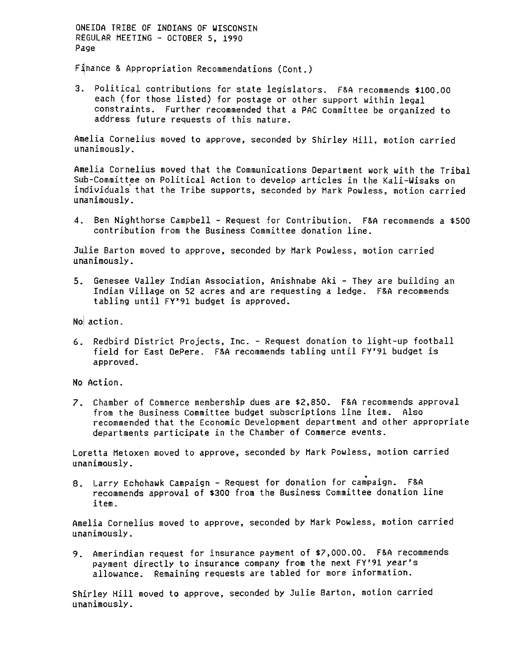ONEIDA TRIBE OF INDIANS Of WISCONSIN RffGULAR HEETING -OCTOBER 5, 1990 Page

Finance & Appropriation Recommendations (Cont.)

Political contributions for state legislators. F&A recommends \$100.00 each (for those listed) for postage or other support within legal constraints. Further recommended that a PAC Committee be organized to address future requests of this nature.

Amelia Cornelius moved to approve, seconded by Shirley Hill, motion carried unanimously.

Amelia Cornelius moved that the Communications Department work with the Tribal Sub-Committee on Political Action to develop articles in the Kali-Wisaks on individuals that the Tribe supports, seconded by Mark Powless, motion carried  $unanimously.$ 

4. Ben Nighthorse Campbell - Request for Contribution. F&A recommends a \$500 contribution from the Business Committee donation line.

Julie Barton moved to approve, seconded by Mark Powless, motion carried unanimously.

5. Genesee Valley Indian Association, Anishnabe Aki - They are building an Indian Village on S2 acres and are requesting a ledge. f&A recommends tabling until FY'91 budget is approved.

6. Redbird District Projects, Inc. - Request donation to light-up footba field for East DePere. F&A recommends tabling until FY'91 budget is approved.

No Action.

No action<br>6. Redd<br>fiel appy<br>No Action<br>7. Chamerace<br>From recodepa<br>Loretta unanimol<br>8. Larr recodite<br>item<br>Amelia (unanimol<br>9. Amerayn<br>allo<br>5. Amerayn<br>allo<br>Shirley<br>unanimol<br>9. Amerayn 7. Chamber of Commerce membership dues are \$2,850. F&A recommends approx from the Business Committe budget subscriptions line ite. Also recommended that the Economic Development department and other approvements participat from the Business Committee budget subscriptions line item. Also recommended that the Economic Development department and other appropriate departments participate in the Chamber of Commerce events.

Loretta Metoxen moved to approve, seconded by Mark Powless, motion carried

8. Larry Echohawk Campaign - Request for donation for campaign. F&A recommends approval of \$300 from the Business Committee donation line

Amelia Cornelius moved to approve, seconded by Hark Powless, motion carried unanimously-

Amerindian request for insurance payment of \$7,000.00. F&A recommends 9. payment directly to insurance company from the next FY'91 year's allowance. Remaining requests are tabled for more information.

Shirley Hill moved to approve, seconded by Julie Barton, motion carried